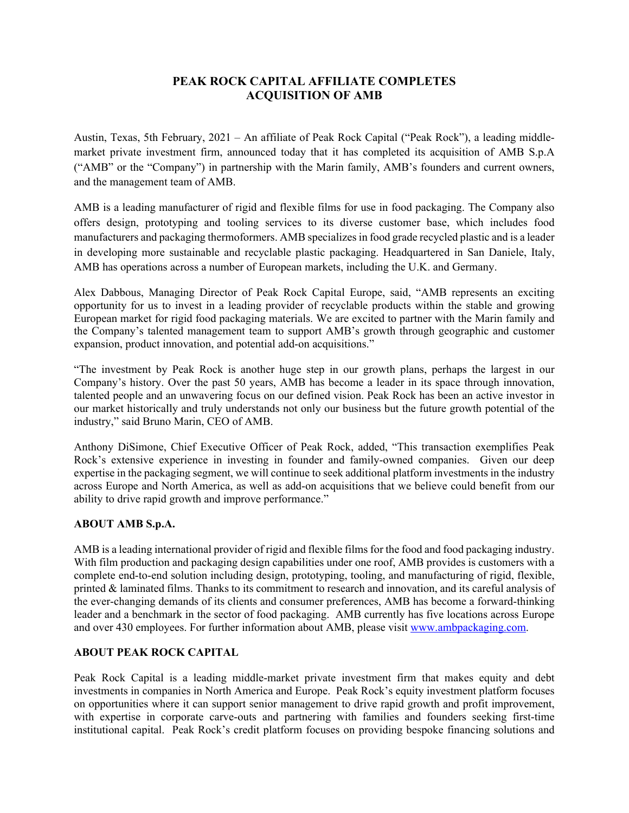## **PEAK ROCK CAPITAL AFFILIATE COMPLETES ACQUISITION OF AMB**

Austin, Texas, 5th February, 2021 – An affiliate of Peak Rock Capital ("Peak Rock"), a leading middlemarket private investment firm, announced today that it has completed its acquisition of AMB S.p.A ("AMB" or the "Company") in partnership with the Marin family, AMB's founders and current owners, and the management team of AMB.

AMB is a leading manufacturer of rigid and flexible films for use in food packaging. The Company also offers design, prototyping and tooling services to its diverse customer base, which includes food manufacturers and packaging thermoformers. AMB specializes in food grade recycled plastic and is a leader in developing more sustainable and recyclable plastic packaging. Headquartered in San Daniele, Italy, AMB has operations across a number of European markets, including the U.K. and Germany.

Alex Dabbous, Managing Director of Peak Rock Capital Europe, said, "AMB represents an exciting opportunity for us to invest in a leading provider of recyclable products within the stable and growing European market for rigid food packaging materials. We are excited to partner with the Marin family and the Company's talented management team to support AMB's growth through geographic and customer expansion, product innovation, and potential add-on acquisitions."

"The investment by Peak Rock is another huge step in our growth plans, perhaps the largest in our Company's history. Over the past 50 years, AMB has become a leader in its space through innovation, talented people and an unwavering focus on our defined vision. Peak Rock has been an active investor in our market historically and truly understands not only our business but the future growth potential of the industry," said Bruno Marin, CEO of AMB.

Anthony DiSimone, Chief Executive Officer of Peak Rock, added, "This transaction exemplifies Peak Rock's extensive experience in investing in founder and family-owned companies. Given our deep expertise in the packaging segment, we will continue to seek additional platform investments in the industry across Europe and North America, as well as add-on acquisitions that we believe could benefit from our ability to drive rapid growth and improve performance."

## **ABOUT AMB S.p.A.**

AMB is a leading international provider of rigid and flexible films for the food and food packaging industry. With film production and packaging design capabilities under one roof, AMB provides is customers with a complete end-to-end solution including design, prototyping, tooling, and manufacturing of rigid, flexible, printed & laminated films. Thanks to its commitment to research and innovation, and its careful analysis of the ever-changing demands of its clients and consumer preferences, AMB has become a forward-thinking leader and a benchmark in the sector of food packaging. AMB currently has five locations across Europe and over 430 employees. For further information about AMB, please visit www.ambpackaging.com.

## **ABOUT PEAK ROCK CAPITAL**

Peak Rock Capital is a leading middle-market private investment firm that makes equity and debt investments in companies in North America and Europe. Peak Rock's equity investment platform focuses on opportunities where it can support senior management to drive rapid growth and profit improvement, with expertise in corporate carve-outs and partnering with families and founders seeking first-time institutional capital. Peak Rock's credit platform focuses on providing bespoke financing solutions and